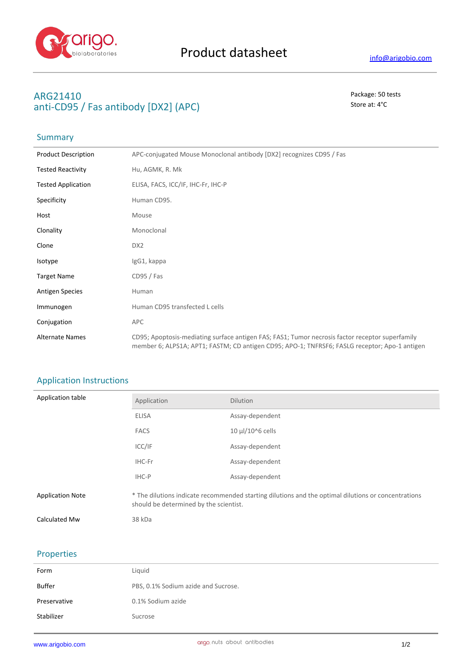

## **ARG21410** Package: 50 tests anti-CD95 / Fas antibody [DX2] (APC) Store at: 4<sup>°</sup>C

# Summary

| <b>Product Description</b> | APC-conjugated Mouse Monoclonal antibody [DX2] recognizes CD95 / Fas                                                                                                                             |
|----------------------------|--------------------------------------------------------------------------------------------------------------------------------------------------------------------------------------------------|
| <b>Tested Reactivity</b>   | Hu, AGMK, R. Mk                                                                                                                                                                                  |
| <b>Tested Application</b>  | ELISA, FACS, ICC/IF, IHC-Fr, IHC-P                                                                                                                                                               |
| Specificity                | Human CD95.                                                                                                                                                                                      |
| Host                       | Mouse                                                                                                                                                                                            |
| Clonality                  | Monoclonal                                                                                                                                                                                       |
| Clone                      | DX <sub>2</sub>                                                                                                                                                                                  |
| Isotype                    | IgG1, kappa                                                                                                                                                                                      |
| <b>Target Name</b>         | CD95 / Fas                                                                                                                                                                                       |
| <b>Antigen Species</b>     | Human                                                                                                                                                                                            |
| Immunogen                  | Human CD95 transfected L cells                                                                                                                                                                   |
| Conjugation                | APC                                                                                                                                                                                              |
| <b>Alternate Names</b>     | CD95; Apoptosis-mediating surface antigen FAS; FAS1; Tumor necrosis factor receptor superfamily<br>member 6; ALPS1A; APT1; FASTM; CD antigen CD95; APO-1; TNFRSF6; FASLG receptor; Apo-1 antigen |

### Application Instructions

| Application table       | Application                                                                                                                                   | <b>Dilution</b>  |
|-------------------------|-----------------------------------------------------------------------------------------------------------------------------------------------|------------------|
|                         | <b>ELISA</b>                                                                                                                                  | Assay-dependent  |
|                         | <b>FACS</b>                                                                                                                                   | 10 µl/10^6 cells |
|                         | ICC/IF                                                                                                                                        | Assay-dependent  |
|                         | IHC-Fr                                                                                                                                        | Assay-dependent  |
|                         | IHC-P                                                                                                                                         | Assay-dependent  |
| <b>Application Note</b> | * The dilutions indicate recommended starting dilutions and the optimal dilutions or concentrations<br>should be determined by the scientist. |                  |
| Calculated Mw           | 38 kDa                                                                                                                                        |                  |

### Properties

| Liquid                              |
|-------------------------------------|
| PBS, 0.1% Sodium azide and Sucrose. |
| 0.1% Sodium azide                   |
| Sucrose                             |
|                                     |